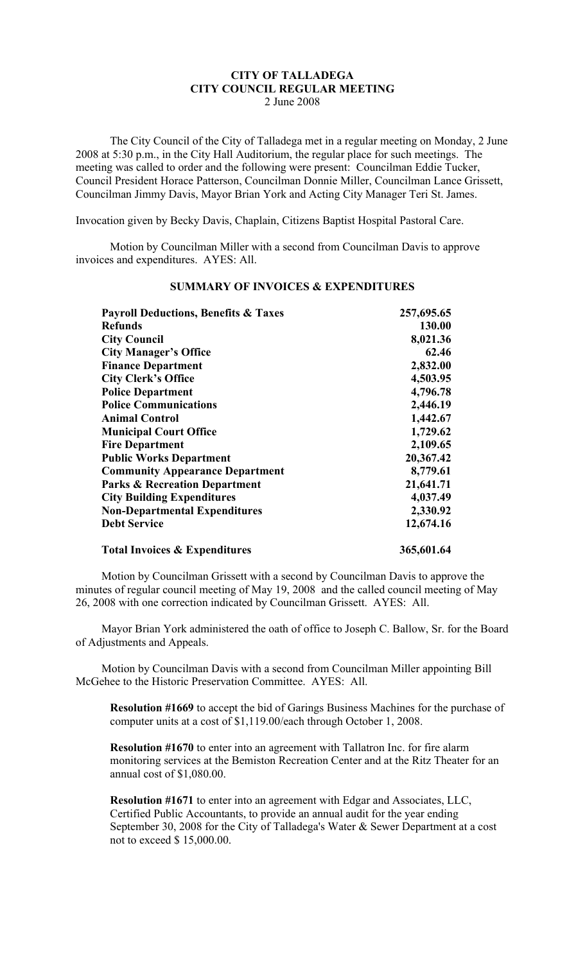## **CITY OF TALLADEGA CITY COUNCIL REGULAR MEETING** 2 June 2008

The City Council of the City of Talladega met in a regular meeting on Monday, 2 June 2008 at 5:30 p.m., in the City Hall Auditorium, the regular place for such meetings. The meeting was called to order and the following were present: Councilman Eddie Tucker, Council President Horace Patterson, Councilman Donnie Miller, Councilman Lance Grissett, Councilman Jimmy Davis, Mayor Brian York and Acting City Manager Teri St. James.

Invocation given by Becky Davis, Chaplain, Citizens Baptist Hospital Pastoral Care.

Motion by Councilman Miller with a second from Councilman Davis to approve invoices and expenditures. AYES: All.

| <b>Payroll Deductions, Benefits &amp; Taxes</b><br><b>Refunds</b><br><b>City Council</b><br><b>City Manager's Office</b><br><b>Finance Department</b><br><b>City Clerk's Office</b><br><b>Police Department</b><br><b>Police Communications</b><br><b>Animal Control</b><br><b>Municipal Court Office</b><br><b>Fire Department</b><br><b>Public Works Department</b><br><b>Community Appearance Department</b> | 257,695.65<br>130.00<br>8,021.36<br>62.46<br>2,832.00<br>4,503.95<br>4,796.78<br>2,446.19<br>1,442.67<br>1,729.62<br>2,109.65<br>20,367.42<br>8,779.61 |                                          |            |
|-----------------------------------------------------------------------------------------------------------------------------------------------------------------------------------------------------------------------------------------------------------------------------------------------------------------------------------------------------------------------------------------------------------------|--------------------------------------------------------------------------------------------------------------------------------------------------------|------------------------------------------|------------|
|                                                                                                                                                                                                                                                                                                                                                                                                                 |                                                                                                                                                        | <b>Parks &amp; Recreation Department</b> | 21,641.71  |
|                                                                                                                                                                                                                                                                                                                                                                                                                 |                                                                                                                                                        | <b>City Building Expenditures</b>        | 4,037.49   |
|                                                                                                                                                                                                                                                                                                                                                                                                                 |                                                                                                                                                        | <b>Non-Departmental Expenditures</b>     | 2,330.92   |
|                                                                                                                                                                                                                                                                                                                                                                                                                 |                                                                                                                                                        | <b>Debt Service</b>                      | 12,674.16  |
|                                                                                                                                                                                                                                                                                                                                                                                                                 |                                                                                                                                                        | <b>Total Invoices &amp; Expenditures</b> | 365,601.64 |

## **SUMMARY OF INVOICES & EXPENDITURES**

Motion by Councilman Grissett with a second by Councilman Davis to approve the minutes of regular council meeting of May 19, 2008 and the called council meeting of May 26, 2008 with one correction indicated by Councilman Grissett. AYES: All.

Mayor Brian York administered the oath of office to Joseph C. Ballow, Sr. for the Board of Adjustments and Appeals.

Motion by Councilman Davis with a second from Councilman Miller appointing Bill McGehee to the Historic Preservation Committee. AYES: All.

**Resolution #1669** to accept the bid of Garings Business Machines for the purchase of computer units at a cost of \$1,119.00/each through October 1, 2008.

**Resolution #1670** to enter into an agreement with Tallatron Inc. for fire alarm monitoring services at the Bemiston Recreation Center and at the Ritz Theater for an annual cost of \$1,080.00.

**Resolution #1671** to enter into an agreement with Edgar and Associates, LLC, Certified Public Accountants, to provide an annual audit for the year ending September 30, 2008 for the City of Talladega's Water & Sewer Department at a cost not to exceed \$ 15,000.00.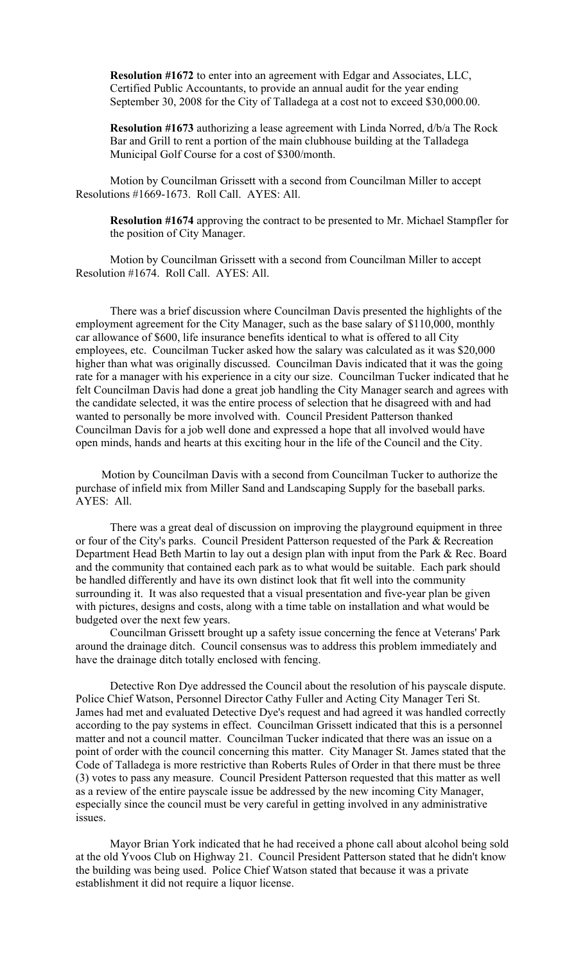**Resolution #1672** to enter into an agreement with Edgar and Associates, LLC, Certified Public Accountants, to provide an annual audit for the year ending September 30, 2008 for the City of Talladega at a cost not to exceed \$30,000.00.

**Resolution #1673** authorizing a lease agreement with Linda Norred, d/b/a The Rock Bar and Grill to rent a portion of the main clubhouse building at the Talladega Municipal Golf Course for a cost of \$300/month.

Motion by Councilman Grissett with a second from Councilman Miller to accept Resolutions #1669-1673. Roll Call. AYES: All.

**Resolution #1674** approving the contract to be presented to Mr. Michael Stampfler for the position of City Manager.

Motion by Councilman Grissett with a second from Councilman Miller to accept Resolution #1674. Roll Call. AYES: All.

There was a brief discussion where Councilman Davis presented the highlights of the employment agreement for the City Manager, such as the base salary of \$110,000, monthly car allowance of \$600, life insurance benefits identical to what is offered to all City employees, etc. Councilman Tucker asked how the salary was calculated as it was \$20,000 higher than what was originally discussed. Councilman Davis indicated that it was the going rate for a manager with his experience in a city our size. Councilman Tucker indicated that he felt Councilman Davis had done a great job handling the City Manager search and agrees with the candidate selected, it was the entire process of selection that he disagreed with and had wanted to personally be more involved with. Council President Patterson thanked Councilman Davis for a job well done and expressed a hope that all involved would have open minds, hands and hearts at this exciting hour in the life of the Council and the City.

Motion by Councilman Davis with a second from Councilman Tucker to authorize the purchase of infield mix from Miller Sand and Landscaping Supply for the baseball parks. AYES: All.

There was a great deal of discussion on improving the playground equipment in three or four of the City's parks. Council President Patterson requested of the Park & Recreation Department Head Beth Martin to lay out a design plan with input from the Park & Rec. Board and the community that contained each park as to what would be suitable. Each park should be handled differently and have its own distinct look that fit well into the community surrounding it. It was also requested that a visual presentation and five-year plan be given with pictures, designs and costs, along with a time table on installation and what would be budgeted over the next few years.

Councilman Grissett brought up a safety issue concerning the fence at Veterans' Park around the drainage ditch. Council consensus was to address this problem immediately and have the drainage ditch totally enclosed with fencing.

Detective Ron Dye addressed the Council about the resolution of his payscale dispute. Police Chief Watson, Personnel Director Cathy Fuller and Acting City Manager Teri St. James had met and evaluated Detective Dye's request and had agreed it was handled correctly according to the pay systems in effect. Councilman Grissett indicated that this is a personnel matter and not a council matter. Councilman Tucker indicated that there was an issue on a point of order with the council concerning this matter. City Manager St. James stated that the Code of Talladega is more restrictive than Roberts Rules of Order in that there must be three (3) votes to pass any measure. Council President Patterson requested that this matter as well as a review of the entire payscale issue be addressed by the new incoming City Manager, especially since the council must be very careful in getting involved in any administrative issues.

Mayor Brian York indicated that he had received a phone call about alcohol being sold at the old Yvoos Club on Highway 21. Council President Patterson stated that he didn't know the building was being used. Police Chief Watson stated that because it was a private establishment it did not require a liquor license.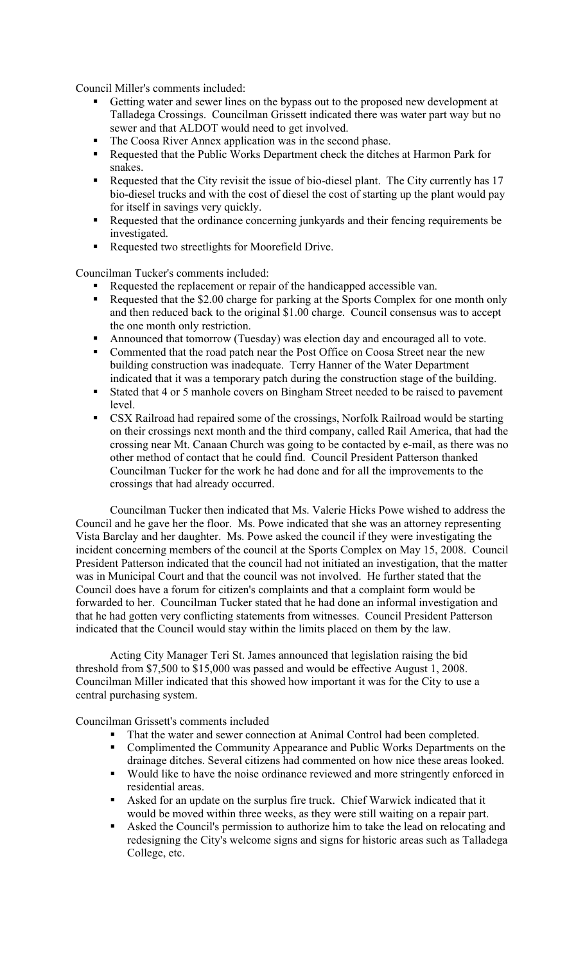Council Miller's comments included:

- Getting water and sewer lines on the bypass out to the proposed new development at Talladega Crossings. Councilman Grissett indicated there was water part way but no sewer and that ALDOT would need to get involved.
- The Coosa River Annex application was in the second phase.
- Requested that the Public Works Department check the ditches at Harmon Park for snakes.
- Requested that the City revisit the issue of bio-diesel plant. The City currently has 17 bio-diesel trucks and with the cost of diesel the cost of starting up the plant would pay for itself in savings very quickly.
- Requested that the ordinance concerning junkyards and their fencing requirements be investigated.
- Requested two streetlights for Moorefield Drive.

Councilman Tucker's comments included:

- Requested the replacement or repair of the handicapped accessible van.
- Requested that the \$2.00 charge for parking at the Sports Complex for one month only and then reduced back to the original \$1.00 charge. Council consensus was to accept the one month only restriction.
- Announced that tomorrow (Tuesday) was election day and encouraged all to vote.
- Commented that the road patch near the Post Office on Coosa Street near the new building construction was inadequate. Terry Hanner of the Water Department indicated that it was a temporary patch during the construction stage of the building.
- Stated that 4 or 5 manhole covers on Bingham Street needed to be raised to pavement level.
- CSX Railroad had repaired some of the crossings, Norfolk Railroad would be starting on their crossings next month and the third company, called Rail America, that had the crossing near Mt. Canaan Church was going to be contacted by e-mail, as there was no other method of contact that he could find. Council President Patterson thanked Councilman Tucker for the work he had done and for all the improvements to the crossings that had already occurred.

Councilman Tucker then indicated that Ms. Valerie Hicks Powe wished to address the Council and he gave her the floor. Ms. Powe indicated that she was an attorney representing Vista Barclay and her daughter. Ms. Powe asked the council if they were investigating the incident concerning members of the council at the Sports Complex on May 15, 2008. Council President Patterson indicated that the council had not initiated an investigation, that the matter was in Municipal Court and that the council was not involved. He further stated that the Council does have a forum for citizen's complaints and that a complaint form would be forwarded to her. Councilman Tucker stated that he had done an informal investigation and that he had gotten very conflicting statements from witnesses. Council President Patterson indicated that the Council would stay within the limits placed on them by the law.

Acting City Manager Teri St. James announced that legislation raising the bid threshold from \$7,500 to \$15,000 was passed and would be effective August 1, 2008. Councilman Miller indicated that this showed how important it was for the City to use a central purchasing system.

Councilman Grissett's comments included

- That the water and sewer connection at Animal Control had been completed.
- **•** Complimented the Community Appearance and Public Works Departments on the drainage ditches. Several citizens had commented on how nice these areas looked.
- Would like to have the noise ordinance reviewed and more stringently enforced in residential areas.
- Asked for an update on the surplus fire truck. Chief Warwick indicated that it would be moved within three weeks, as they were still waiting on a repair part.
- Asked the Council's permission to authorize him to take the lead on relocating and redesigning the City's welcome signs and signs for historic areas such as Talladega College, etc.